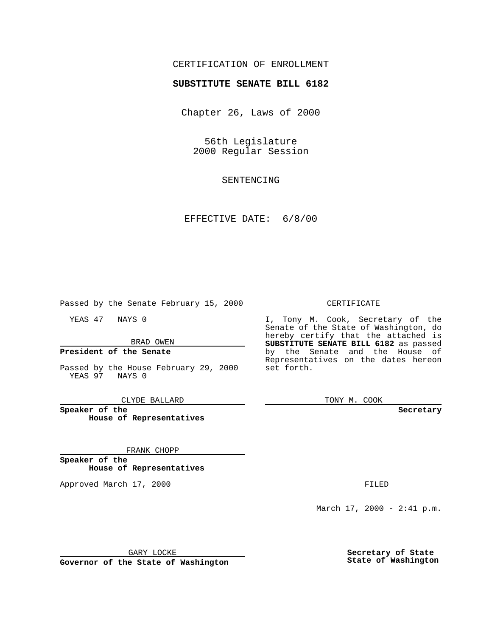# CERTIFICATION OF ENROLLMENT

# **SUBSTITUTE SENATE BILL 6182**

Chapter 26, Laws of 2000

56th Legislature 2000 Regular Session

SENTENCING

### EFFECTIVE DATE: 6/8/00

Passed by the Senate February 15, 2000

YEAS 47 NAYS 0

#### BRAD OWEN

#### **President of the Senate**

Passed by the House February 29, 2000 YEAS 97 NAYS 0

CLYDE BALLARD

**Speaker of the House of Representatives**

#### FRANK CHOPP

**Speaker of the House of Representatives**

Approved March 17, 2000 FILED

#### CERTIFICATE

I, Tony M. Cook, Secretary of the Senate of the State of Washington, do hereby certify that the attached is **SUBSTITUTE SENATE BILL 6182** as passed by the Senate and the House of Representatives on the dates hereon set forth.

TONY M. COOK

**Secretary**

March 17, 2000 - 2:41 p.m.

GARY LOCKE

**Governor of the State of Washington**

**Secretary of State State of Washington**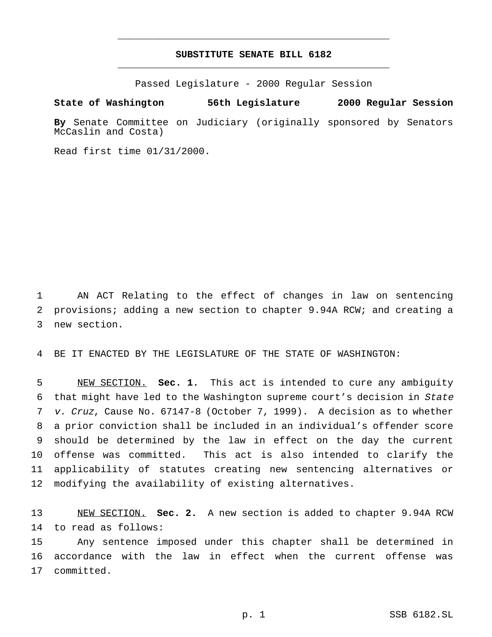# **SUBSTITUTE SENATE BILL 6182** \_\_\_\_\_\_\_\_\_\_\_\_\_\_\_\_\_\_\_\_\_\_\_\_\_\_\_\_\_\_\_\_\_\_\_\_\_\_\_\_\_\_\_\_\_\_\_

\_\_\_\_\_\_\_\_\_\_\_\_\_\_\_\_\_\_\_\_\_\_\_\_\_\_\_\_\_\_\_\_\_\_\_\_\_\_\_\_\_\_\_\_\_\_\_

Passed Legislature - 2000 Regular Session

**State of Washington 56th Legislature 2000 Regular Session**

**By** Senate Committee on Judiciary (originally sponsored by Senators McCaslin and Costa)

Read first time 01/31/2000.

 AN ACT Relating to the effect of changes in law on sentencing provisions; adding a new section to chapter 9.94A RCW; and creating a new section.

BE IT ENACTED BY THE LEGISLATURE OF THE STATE OF WASHINGTON:

 NEW SECTION. **Sec. 1.** This act is intended to cure any ambiguity that might have led to the Washington supreme court's decision in State v. Cruz, Cause No. 67147-8 (October 7, 1999). A decision as to whether a prior conviction shall be included in an individual's offender score should be determined by the law in effect on the day the current offense was committed. This act is also intended to clarify the applicability of statutes creating new sentencing alternatives or modifying the availability of existing alternatives.

 NEW SECTION. **Sec. 2.** A new section is added to chapter 9.94A RCW to read as follows:

 Any sentence imposed under this chapter shall be determined in accordance with the law in effect when the current offense was committed.